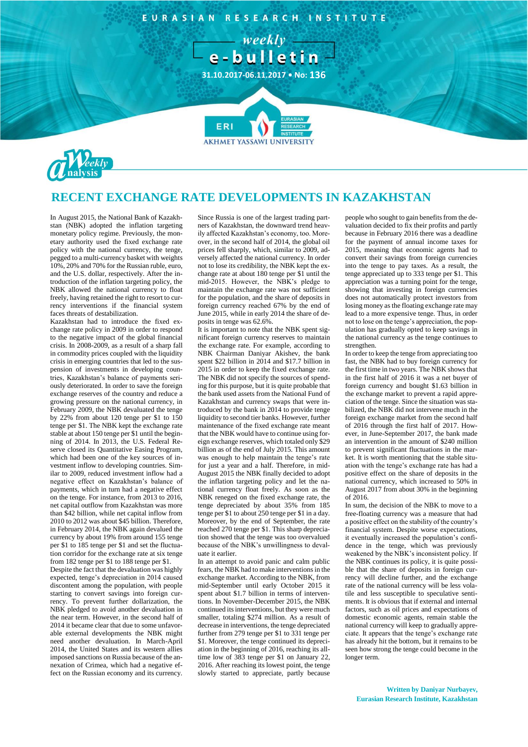

## **RECENT EXCHANGE RATE DEVELOPMENTS IN KAZAKHSTAN**

In August 2015, the National Bank of Kazakhstan (NBK) adopted the inflation targeting monetary policy regime. Previously, the monetary authority used the fixed exchange rate policy with the national currency, the tenge, pegged to a multi-currency basket with weights 10%, 20% and 70% for the Russian ruble, euro, and the U.S. dollar, respectively. After the introduction of the inflation targeting policy, the NBK allowed the national currency to float freely, having retained the right to resort to currency interventions if the financial system faces threats of destabilization.

Kazakhstan had to introduce the fixed exchange rate policy in 2009 in order to respond to the negative impact of the global financial crisis. In 2008-2009, as a result of a sharp fall in commodity prices coupled with the liquidity crisis in emerging countries that led to the suspension of investments in developing countries, Kazakhstan's balance of payments seriously deteriorated. In order to save the foreign exchange reserves of the country and reduce a growing pressure on the national currency, in February 2009, the NBK devaluated the tenge by 22% from about 120 tenge per \$1 to 150 tenge per \$1. The NBK kept the exchange rate stable at about 150 tenge per \$1 until the beginning of 2014. In 2013, the U.S. Federal Reserve closed its Quantitative Easing Program, which had been one of the key sources of investment inflow to developing countries. Similar to 2009, reduced investment inflow had a negative effect on Kazakhstan's balance of payments, which in turn had a negative effect on the tenge. For instance, from 2013 to 2016, net capital outflow from Kazakhstan was more than \$42 billion, while net capital inflow from 2010 to 2012 was about \$45 billion. Therefore, in February 2014, the NBK again devalued the currency by about 19% from around 155 tenge per \$1 to 185 tenge per \$1 and set the fluctuation corridor for the exchange rate at six tenge from 182 tenge per \$1 to 188 tenge per \$1.

Despite the fact that the devaluation was highly expected, tenge's depreciation in 2014 caused discontent among the population, with people starting to convert savings into foreign currency. To prevent further dollarization, the NBK pledged to avoid another devaluation in the near term. However, in the second half of 2014 it became clear that due to some unfavorable external developments the NBK might need another devaluation. In March-April 2014, the United States and its western allies imposed sanctions on Russia because of the annexation of Crimea, which had a negative effect on the Russian economy and its currency.

Since Russia is one of the largest trading partners of Kazakhstan, the downward trend heavily affected Kazakhstan's economy, too. Moreover, in the second half of 2014, the global oil prices fell sharply, which, similar to 2009, adversely affected the national currency. In order not to lose its credibility, the NBK kept the exchange rate at about 180 tenge per \$1 until the mid-2015. However, the NBK's pledge to maintain the exchange rate was not sufficient for the population, and the share of deposits in foreign currency reached 67% by the end of June 2015, while in early 2014 the share of deposits in tenge was 62.6%.

It is important to note that the NBK spent significant foreign currency reserves to maintain the exchange rate. For example, according to NBK Chairman Daniyar Akishev, the bank spent \$22 billion in 2014 and \$17.7 billion in 2015 in order to keep the fixed exchange rate. The NBK did not specify the sources of spending for this purpose, but it is quite probable that the bank used assets from the National Fund of Kazakhstan and currency swaps that were introduced by the bank in 2014 to provide tenge liquidity to second tier banks. However, further maintenance of the fixed exchange rate meant that the NBK would have to continue using foreign exchange reserves, which totaled only \$29 billion as of the end of July 2015. This amount was enough to help maintain the tenge's rate for just a year and a half. Therefore, in mid-August 2015 the NBK finally decided to adopt the inflation targeting policy and let the national currency float freely. As soon as the NBK reneged on the fixed exchange rate, the tenge depreciated by about 35% from 185 tenge per \$1 to about 250 tenge per \$1 in a day. Moreover, by the end of September, the rate reached 270 tenge per \$1. This sharp depreciation showed that the tenge was too overvalued because of the NBK's unwillingness to devaluate it earlier.

In an attempt to avoid panic and calm public fears, the NBK had to make interventions in the exchange market. According to the NBK, from mid-September until early October 2015 it spent about \$1.7 billion in terms of interventions. In November-December 2015, the NBK continued its interventions, but they were much smaller, totaling \$274 million. As a result of decrease in interventions, the tenge depreciated further from 279 tenge per \$1 to 331 tenge per \$1. Moreover, the tenge continued its depreciation in the beginning of 2016, reaching its alltime low of 383 tenge per \$1 on January 22, 2016. After reaching its lowest point, the tenge slowly started to appreciate, partly because people who sought to gain benefits from the devaluation decided to fix their profits and partly because in February 2016 there was a deadline for the payment of annual income taxes for 2015, meaning that economic agents had to convert their savings from foreign currencies into the tenge to pay taxes. As a result, the tenge appreciated up to 333 tenge per \$1. This appreciation was a turning point for the tenge, showing that investing in foreign currencies does not automatically protect investors from losing money as the floating exchange rate may lead to a more expensive tenge. Thus, in order not to lose on the tenge's appreciation, the population has gradually opted to keep savings in the national currency as the tenge continues to strengthen.

In order to keep the tenge from appreciating too fast, the NBK had to buy foreign currency for the first time in two years. The NBK shows that in the first half of 2016 it was a net buyer of foreign currency and bought \$1.63 billion in the exchange market to prevent a rapid appreciation of the tenge. Since the situation was stabilized, the NBK did not intervene much in the foreign exchange market from the second half of 2016 through the first half of 2017. However, in June-September 2017, the bank made an intervention in the amount of \$240 million to prevent significant fluctuations in the market. It is worth mentioning that the stable situation with the tenge's exchange rate has had a positive effect on the share of deposits in the national currency, which increased to 50% in August 2017 from about 30% in the beginning of 2016.

In sum, the decision of the NBK to move to a free-floating currency was a measure that had a positive effect on the stability of the country's financial system. Despite worse expectations, it eventually increased the population's confidence in the tenge, which was previously weakened by the NBK's inconsistent policy. If the NBK continues its policy, it is quite possible that the share of deposits in foreign currency will decline further, and the exchange rate of the national currency will be less volatile and less susceptible to speculative sentiments. It is obvious that if external and internal factors, such as oil prices and expectations of domestic economic agents, remain stable the national currency will keep to gradually appreciate. It appears that the tenge's exchange rate has already hit the bottom, but it remains to be seen how strong the tenge could become in the longer term.